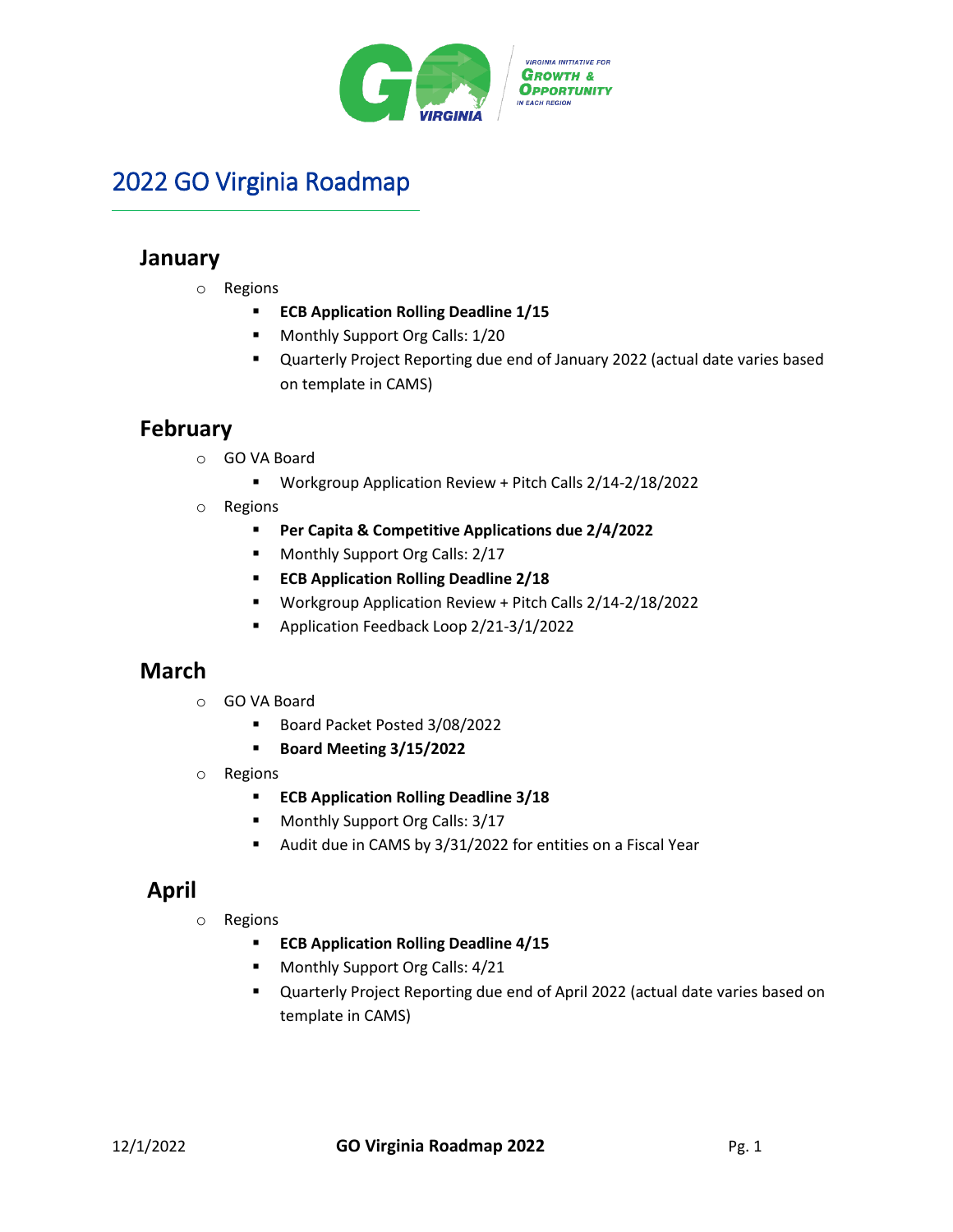

# 2022 GO Virginia Roadmap

# **January**

- o Regions
	- **ECB Application Rolling Deadline 1/15**
	- **Monthly Support Org Calls: 1/20**
	- Quarterly Project Reporting due end of January 2022 (actual date varies based on template in CAMS)

## **February**

- o GO VA Board
	- Workgroup Application Review + Pitch Calls 2/14-2/18/2022
- o Regions
	- **Per Capita & Competitive Applications due 2/4/2022**
	- **Monthly Support Org Calls: 2/17**
	- **ECB Application Rolling Deadline 2/18**
	- Workgroup Application Review + Pitch Calls 2/14-2/18/2022
	- **Application Feedback Loop 2/21-3/1/2022**

## **March**

- o GO VA Board
	- Board Packet Posted 3/08/2022
	- **Board Meeting 3/15/2022**
- o Regions
	- **ECB Application Rolling Deadline 3/18**
	- **Monthly Support Org Calls: 3/17**
	- Audit due in CAMS by 3/31/2022 for entities on a Fiscal Year

# **April**

- o Regions
	- **ECB Application Rolling Deadline 4/15**
	- **Monthly Support Org Calls: 4/21**
	- Quarterly Project Reporting due end of April 2022 (actual date varies based on template in CAMS)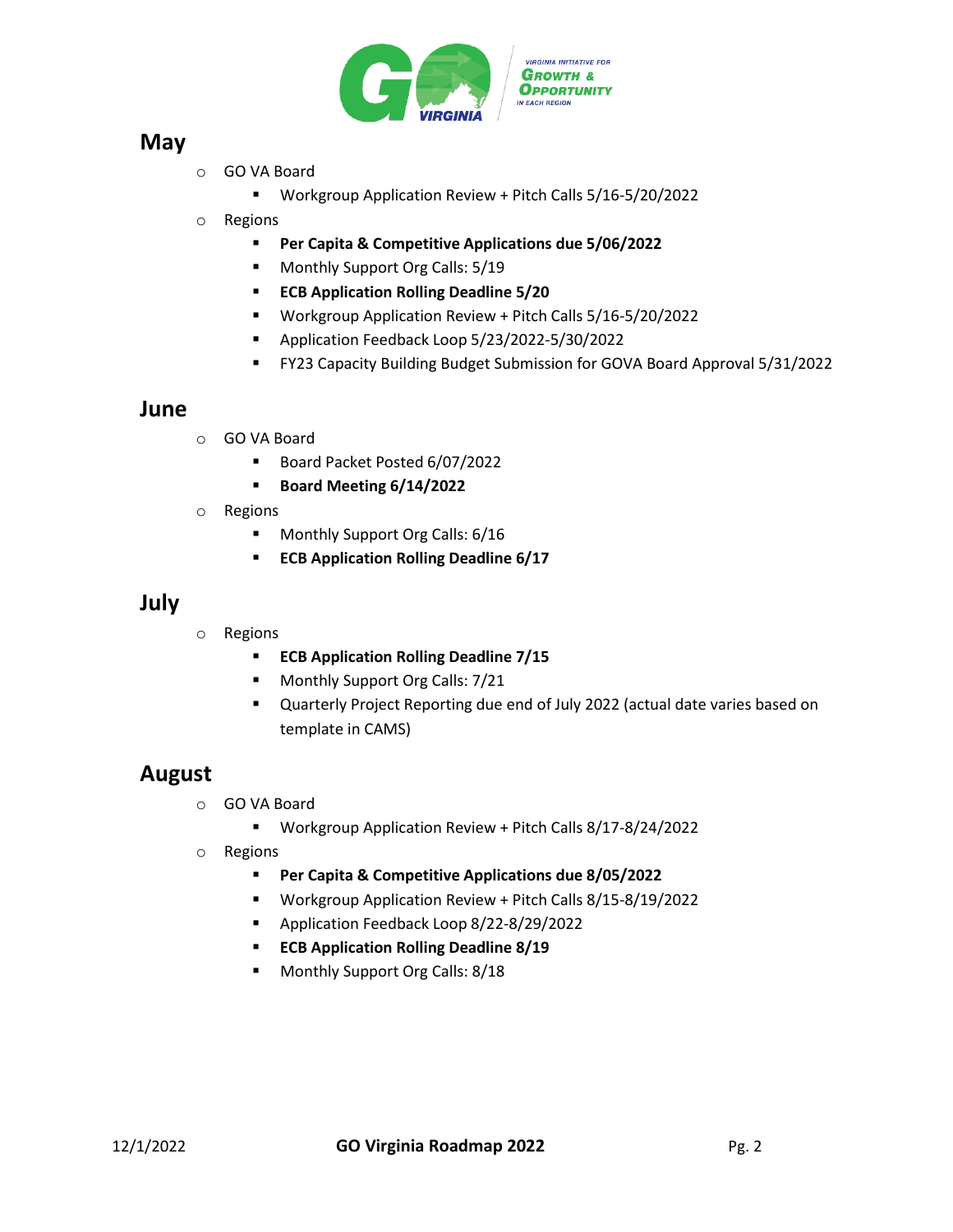

### **May**

- o GO VA Board
	- Workgroup Application Review + Pitch Calls 5/16-5/20/2022
- o Regions
	- **Per Capita & Competitive Applications due 5/06/2022**
	- **Monthly Support Org Calls: 5/19**
	- **ECB Application Rolling Deadline 5/20**
	- Workgroup Application Review + Pitch Calls 5/16-5/20/2022
	- Application Feedback Loop 5/23/2022-5/30/2022
	- FY23 Capacity Building Budget Submission for GOVA Board Approval 5/31/2022

#### **June**

- o GO VA Board
	- Board Packet Posted 6/07/2022
	- **Board Meeting 6/14/2022**
- o Regions
	- **Monthly Support Org Calls: 6/16**
	- **ECB Application Rolling Deadline 6/17**

#### **July**

- o Regions
	- **ECB Application Rolling Deadline 7/15**
	- **Monthly Support Org Calls: 7/21**
	- Quarterly Project Reporting due end of July 2022 (actual date varies based on template in CAMS)

### **August**

- o GO VA Board
	- Workgroup Application Review + Pitch Calls 8/17-8/24/2022
- o Regions
	- **Per Capita & Competitive Applications due 8/05/2022**
	- Workgroup Application Review + Pitch Calls 8/15-8/19/2022
	- **Application Feedback Loop 8/22-8/29/2022**
	- **ECB Application Rolling Deadline 8/19**
	- **Monthly Support Org Calls: 8/18**